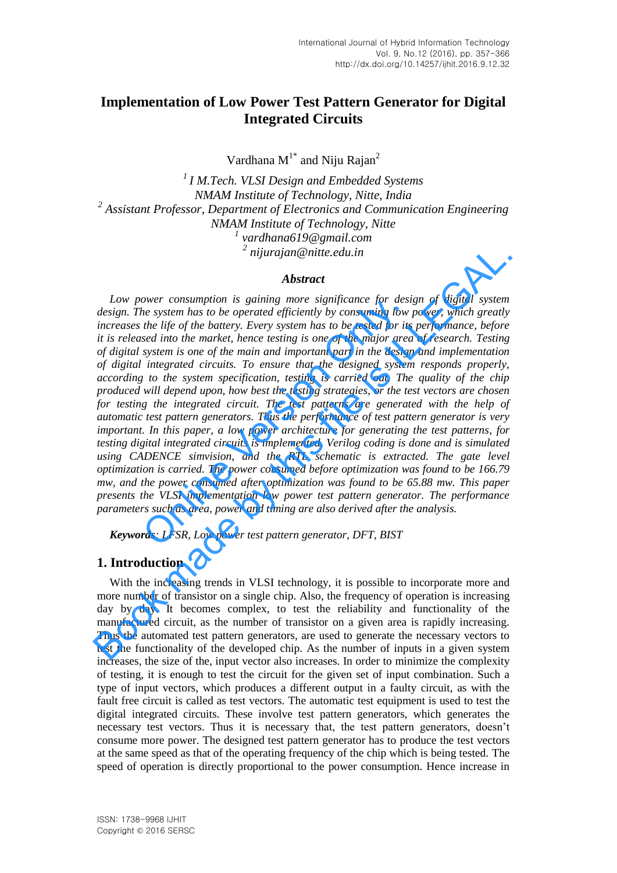# **Implementation of Low Power Test Pattern Generator for Digital Integrated Circuits**

Vardhana  $M^{1*}$  and Niju Rajan<sup>2</sup>

*I M.Tech. VLSI Design and Embedded Systems NMAM Institute of Technology, Nitte, India Assistant Professor, Department of Electronics and Communication Engineering NMAM Institute of Technology, Nitte vardhana619@gmail.com nijurajan@nitte.edu.in* 

#### *Abstract*

*Low power consumption is gaining more significance for design of digital system design. The system has to be operated efficiently by consuming low power, which greatly increases the life of the battery. Every system has to be tested for its performance, before it is released into the market, hence testing is one of the major area of research. Testing of digital system is one of the main and important part in the design and implementation of digital integrated circuits. To ensure that the designed system responds properly, according to the system specification, testing is carried out. The quality of the chip produced will depend upon, how best the testing strategies, or the test vectors are chosen*  for testing the integrated circuit. The test patterns are generated with the help of *automatic test pattern generators. Thus the performance of test pattern generator is very important. In this paper, a low power architecture for generating the test patterns, for testing digital integrated circuits is implemented. Verilog coding is done and is simulated using CADENCE simvision, and the RTL schematic is extracted. The gate level optimization is carried. The power consumed before optimization was found to be 166.79 mw, and the power consumed after optimization was found to be 65.88 mw. This paper presents the VLSI implementation low power test pattern generator. The performance parameters such as area, power and timing are also derived after the analysis.*  ower consumption is guining more significance for aesisem has to be operated efficiently by consuming low<br>the life of the battery. Every system has to be tested for its<br>sed into the market, hence testing is one of the majo 2 nijurajan@nitte.edu.in<br> **Abstract**<br> **Abstract**<br> **Abstract**<br> **Abstract**<br> **Abstract**<br> **Abstract**<br> **Abstract**<br> **Abstract**<br> **Abstract**<br> **Abstract**<br> **Abstract**<br> **Abstract**<br> **Abstract**<br> **Abstract**<br> **Abstract**<br> **Abstract**<br> **Ab** 

*Keywords: LFSR, Low power test pattern generator, DFT, BIST* 

### **1. Introduction**

With the increasing trends in VLSI technology, it is possible to incorporate more and more number of transistor on a single chip. Also, the frequency of operation is increasing day by day. It becomes complex, to test the reliability and functionality of the manufactured circuit, as the number of transistor on a given area is rapidly increasing. Thus the automated test pattern generators, are used to generate the necessary vectors to test the functionality of the developed chip. As the number of inputs in a given system increases, the size of the, input vector also increases. In order to minimize the complexity of testing, it is enough to test the circuit for the given set of input combination. Such a type of input vectors, which produces a different output in a faulty circuit, as with the fault free circuit is called as test vectors. The automatic test equipment is used to test the digital integrated circuits. These involve test pattern generators, which generates the necessary test vectors. Thus it is necessary that, the test pattern generators, doesn't consume more power. The designed test pattern generator has to produce the test vectors at the same speed as that of the operating frequency of the chip which is being tested. The speed of operation is directly proportional to the power consumption. Hence increase in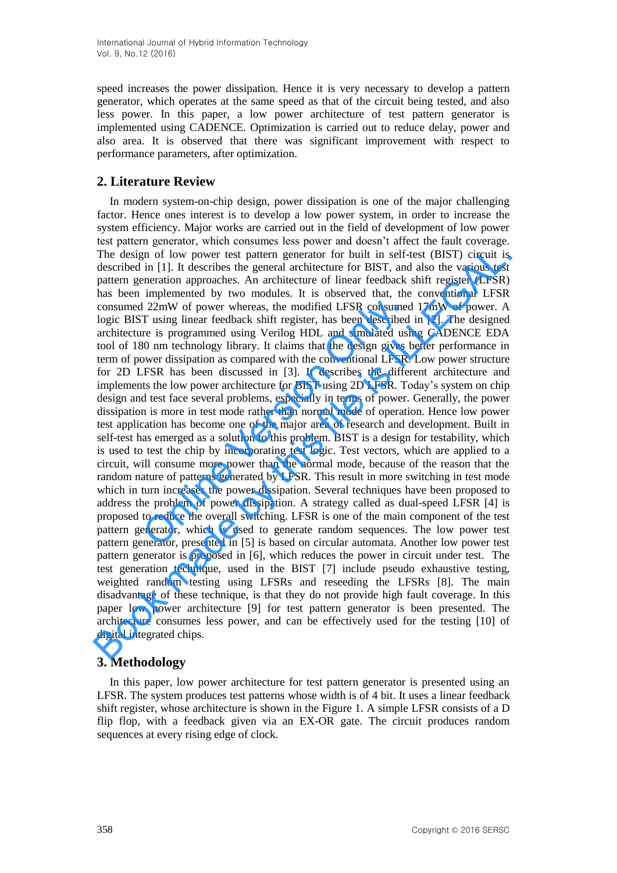speed increases the power dissipation. Hence it is very necessary to develop a pattern generator, which operates at the same speed as that of the circuit being tested, and also less power. In this paper, a low power architecture of test pattern generator is implemented using CADENCE. Optimization is carried out to reduce delay, power and also area. It is observed that there was significant improvement with respect to performance parameters, after optimization.

## **2. Literature Review**

In modern system-on-chip design, power dissipation is one of the major challenging factor. Hence ones interest is to develop a low power system, in order to increase the system efficiency. Major works are carried out in the field of development of low power test pattern generator, which consumes less power and doesn't affect the fault coverage. The design of low power test pattern generator for built in self-test (BIST) circuit is described in [1]. It describes the general architecture for BIST, and also the various test pattern generation approaches. An architecture of linear feedback shift register (LFSR) has been implemented by two modules. It is observed that, the conventional LFSR consumed 22mW of power whereas, the modified LFSR consumed 17mW of power. A logic BIST using linear feedback shift register, has been described in [2]. The designed architecture is programmed using Verilog HDL and simulated using CADENCE EDA tool of 180 nm technology library. It claims that the design gives better performance in term of power dissipation as compared with the conventional LFSR. Low power structure for 2D LFSR has been discussed in [3]. It describes the different architecture and implements the low power architecture for BIST using 2D LFSR. Today's system on chip design and test face several problems, especially in terms of power. Generally, the power dissipation is more in test mode rather than normal mode of operation. Hence low power test application has become one of the major area of research and development. Built in self-test has emerged as a solution to this problem. BIST is a design for testability, which is used to test the chip by incorporating test logic. Test vectors, which are applied to a circuit, will consume more power than the normal mode, because of the reason that the random nature of patterns generated by LFSR. This result in more switching in test mode which in turn increases the power dissipation. Several techniques have been proposed to address the problem of power dissipation. A strategy called as dual-speed LFSR [4] is proposed to reduce the overall switching. LFSR is one of the main component of the test pattern generator, which is used to generate random sequences. The low power test pattern generator, presented in [5] is based on circular automata. Another low power test pattern generator is proposed in [6], which reduces the power in circuit under test. The test generation technique, used in the BIST [7] include pseudo exhaustive testing, weighted random testing using LFSRs and reseeding the LFSRs [8]. The main disadvantage of these technique, is that they do not provide high fault coverage. In this paper low power architecture [9] for test pattern generator is been presented. The architecture consumes less power, and can be effectively used for the testing [10] of digital integrated chips. 1 22mW of power whereas, the modified LFSR consumed T using linear feedback shift register, has been described re is programmed using Verilog HDL and simulated usi 80 nm technology library. It claims that the design gives The design of low power test pattern generator for built in self-test (BIST) circuit is described in [1]. It describes the general architecture or BIST, and also the various test pattern generation approaches. An architec

## **3. Methodology**

In this paper, low power architecture for test pattern generator is presented using an LFSR. The system produces test patterns whose width is of 4 bit. It uses a linear feedback shift register, whose architecture is shown in the Figure 1. A simple LFSR consists of a D flip flop, with a feedback given via an EX-OR gate. The circuit produces random sequences at every rising edge of clock.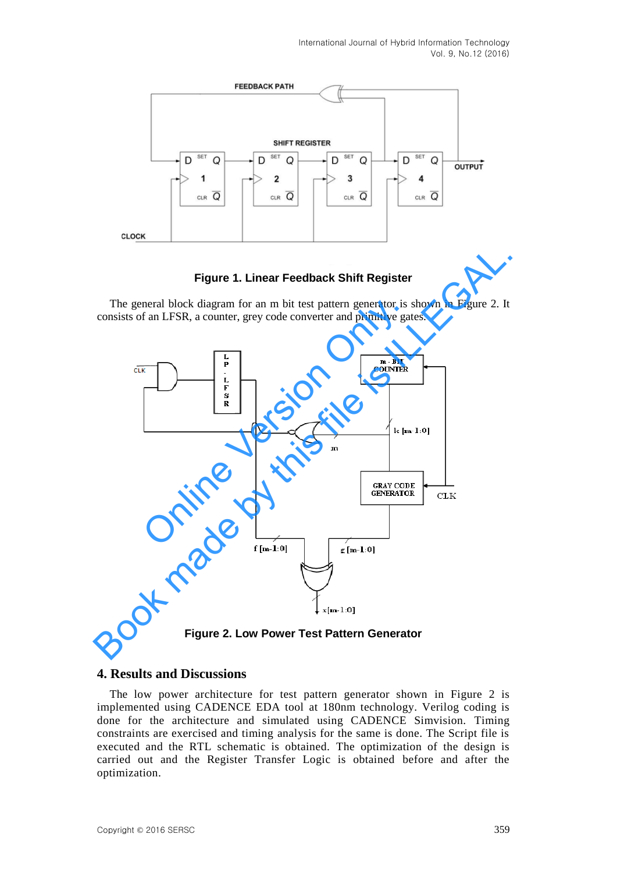

### **Figure 1. Linear Feedback Shift Register**

The general block diagram for an m bit test pattern generator is shown in Figure 2. It consists of an LFSR, a counter, grey code converter and primitive gates.



**Figure 2. Low Power Test Pattern Generator** 

#### **4. Results and Discussions**

The low power architecture for test pattern generator shown in Figure 2 is implemented using CADENCE EDA tool at 180nm technology. Verilog coding is done for the architecture and simulated using CADENCE Simvision. Timing constraints are exercised and timing analysis for the same is done. The Script file is executed and the RTL schematic is obtained. The optimization of the design is carried out and the Register Transfer Logic is obtained before and after the optimization.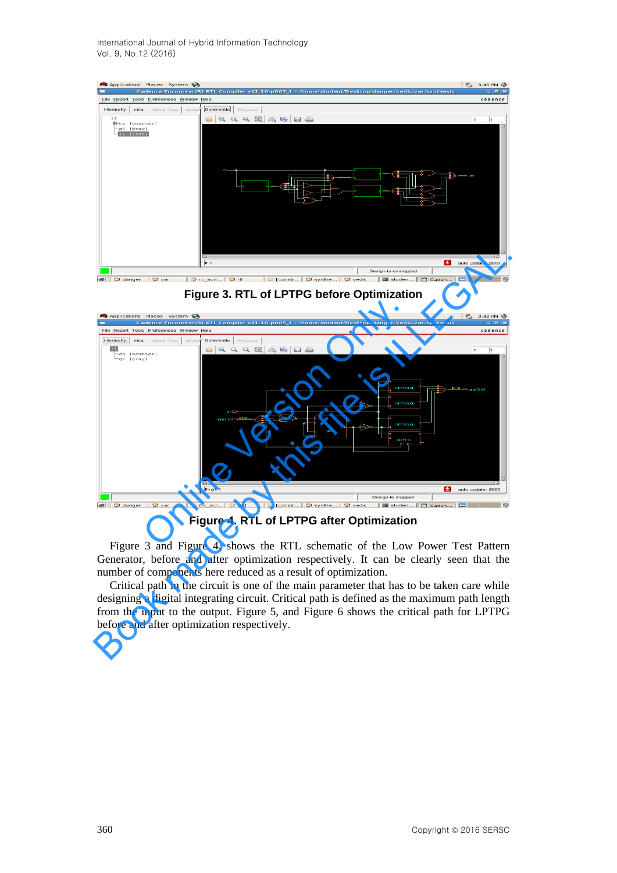

**Figure 3. RTL of LPTPG before Optimization** 



**Figure 4. RTL of LPTPG after Optimization** 

Figure 3 and Figure 4, shows the RTL schematic of the Low Power Test Pattern Generator, before and after optimization respectively. It can be clearly seen that the number of components here reduced as a result of optimization.

Critical path in the circuit is one of the main parameter that has to be taken care while designing a digital integrating circuit. Critical path is defined as the maximum path length from the input to the output. Figure 5, and Figure 6 shows the critical path for LPTPG before and after optimization respectively.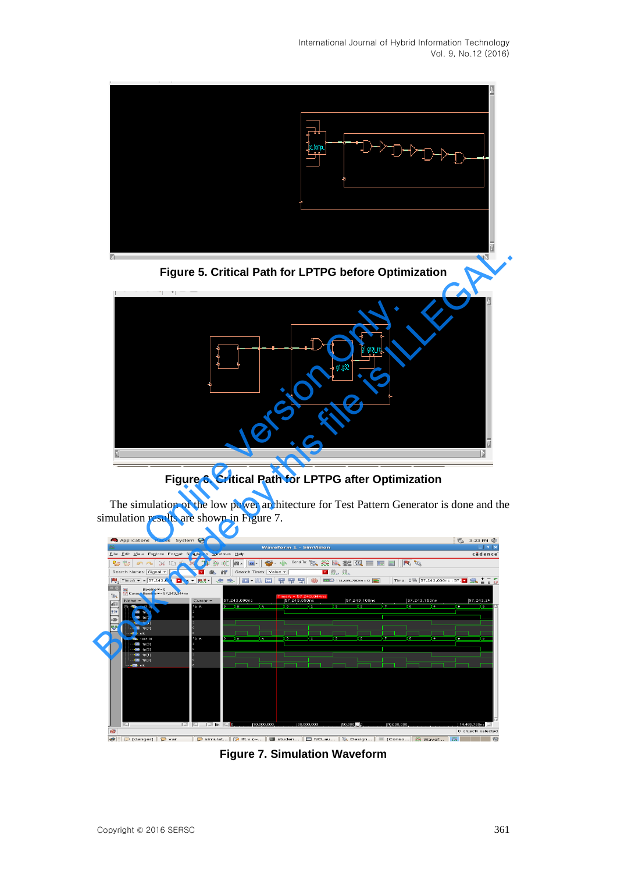





**Figure 6. Critical Path for LPTPG after Optimization** 

The simulation of the low power architecture for Test Pattern Generator is done and the simulation results are shown in Figure 7.



**Figure 7. Simulation Waveform**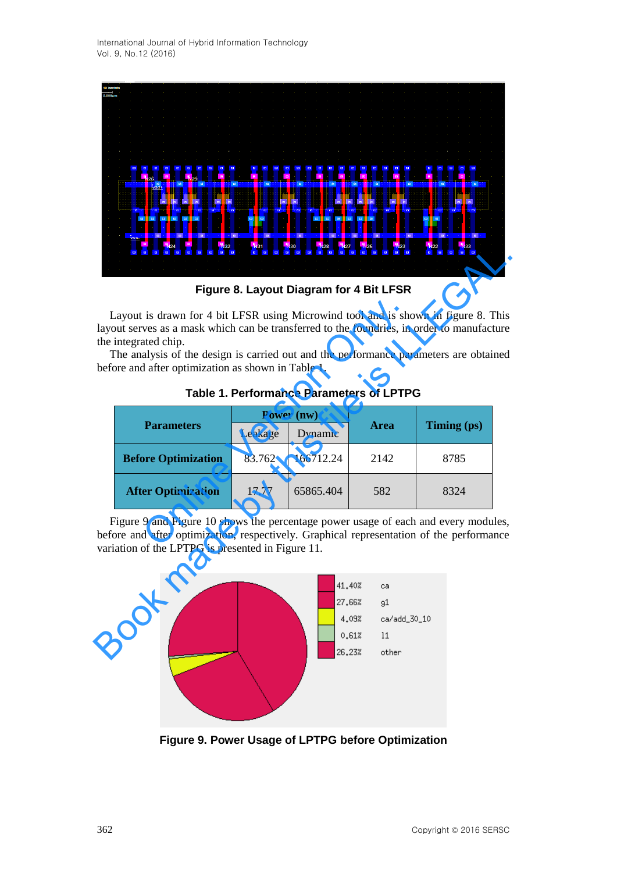

**Figure 8. Layout Diagram for 4 Bit LFSR** 

| Figure 8. Layout Diagram for 4 Bit LFSR                                                                                                                                                                                                                                                                                                                 |                            |         |            |                                                                                         |             |  |  |
|---------------------------------------------------------------------------------------------------------------------------------------------------------------------------------------------------------------------------------------------------------------------------------------------------------------------------------------------------------|----------------------------|---------|------------|-----------------------------------------------------------------------------------------|-------------|--|--|
| Layout is drawn for 4 bit LFSR using Microwind tool and is shown in figure 8. This<br>layout serves as a mask which can be transferred to the foundries, in order to manufacture<br>the integrated chip.<br>The analysis of the design is carried out and the performance parameters are obtained<br>before and after optimization as shown in Table 1. |                            |         |            |                                                                                         |             |  |  |
| <b>Table 1. Performance Parameters of LPTPG</b>                                                                                                                                                                                                                                                                                                         |                            |         |            |                                                                                         |             |  |  |
|                                                                                                                                                                                                                                                                                                                                                         | <b>Parameters</b>          |         | Power (nw) | <b>Area</b>                                                                             | Timing (ps) |  |  |
|                                                                                                                                                                                                                                                                                                                                                         |                            | Leakage | Dynamic    |                                                                                         |             |  |  |
|                                                                                                                                                                                                                                                                                                                                                         | <b>Before Optimization</b> | 83.762  | 166712.24  | 2142                                                                                    | 8785        |  |  |
|                                                                                                                                                                                                                                                                                                                                                         | <b>After Optimization</b>  | 17.77   | 65865.404  | 582                                                                                     | 8324        |  |  |
| Figure 9 and Figure 10 shows the percentage power usage of each and every modules,<br>before and after optimization, respectively. Graphical representation of the performance<br>variation of the LPTPG is presented in Figure 11.                                                                                                                     |                            |         |            |                                                                                         |             |  |  |
|                                                                                                                                                                                                                                                                                                                                                         |                            |         |            | 41,40%<br>ca<br>27,66%<br>91<br>4.09%<br>ca/add_30_10<br>0.61%<br>11<br>26,23%<br>other |             |  |  |

**Table 1. Performance Parameters of LPTPG**



**Figure 9. Power Usage of LPTPG before Optimization**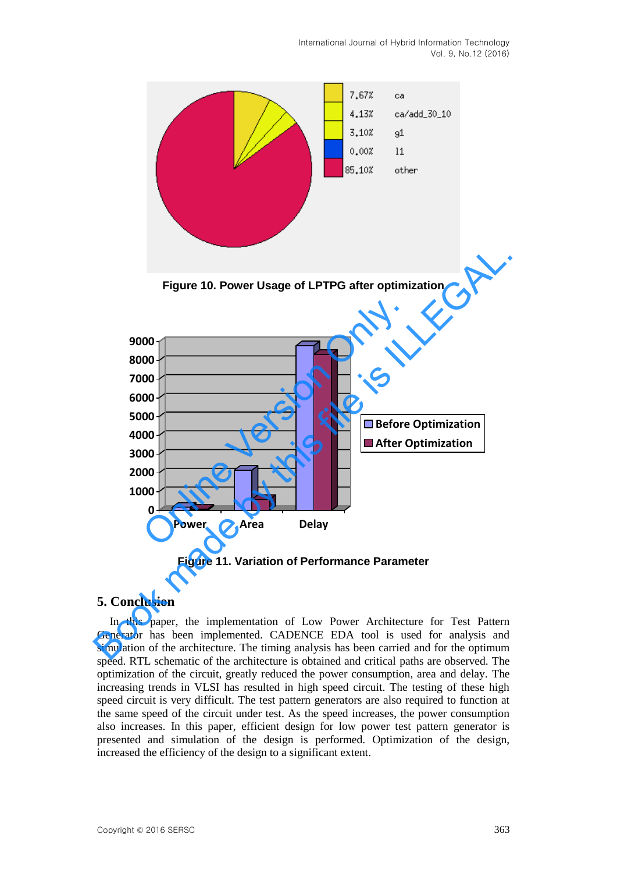

**Figure 10. Power Usage of LPTPG after optimization** 



**Figure 11. Variation of Performance Parameter** 

### **5. Conclusion**

In this paper, the implementation of Low Power Architecture for Test Pattern Generator has been implemented. CADENCE EDA tool is used for analysis and simulation of the architecture. The timing analysis has been carried and for the optimum speed. RTL schematic of the architecture is obtained and critical paths are observed. The optimization of the circuit, greatly reduced the power consumption, area and delay. The increasing trends in VLSI has resulted in high speed circuit. The testing of these high speed circuit is very difficult. The test pattern generators are also required to function at the same speed of the circuit under test. As the speed increases, the power consumption also increases. In this paper, efficient design for low power test pattern generator is presented and simulation of the design is performed. Optimization of the design, increased the efficiency of the design to a significant extent.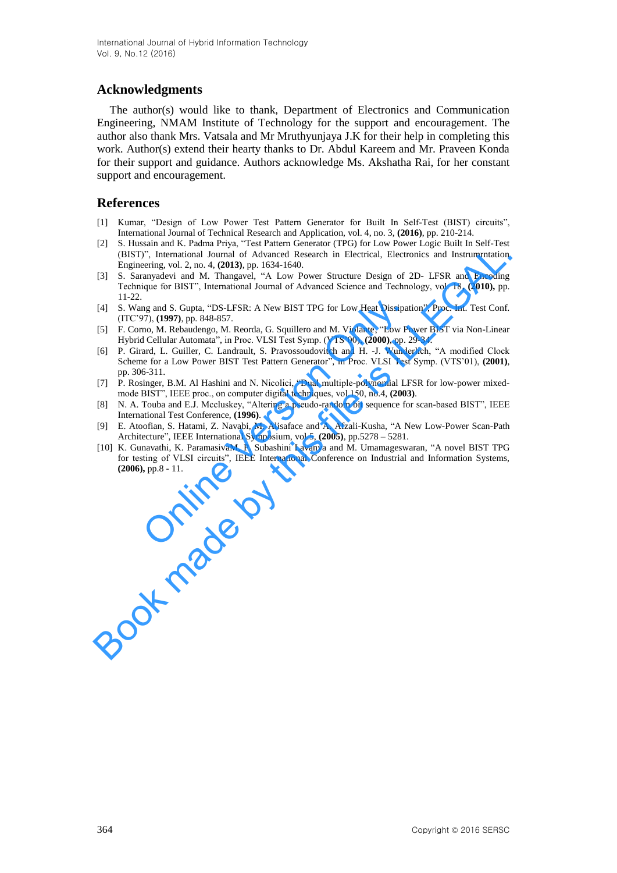## **Acknowledgments**

The author(s) would like to thank, Department of Electronics and Communication Engineering, NMAM Institute of Technology for the support and encouragement. The author also thank Mrs. Vatsala and Mr Mruthyunjaya J.K for their help in completing this work. Author(s) extend their hearty thanks to Dr. Abdul Kareem and Mr. Praveen Konda for their support and guidance. Authors acknowledge Ms. Akshatha Rai, for her constant support and encouragement.

### **References**

- [1] Kumar, "Design of Low Power Test Pattern Generator for Built In Self-Test (BIST) circuits", International Journal of Technical Research and Application, vol. 4, no. 3, **(2016)**, pp. 210-214.
- [2] S. Hussain and K. Padma Priya, "Test Pattern Generator (TPG) for Low Power Logic Built In Self-Test (BIST)", International Journal of Advanced Research in Electrical, Electronics and Instrumrntation Engineering, vol. 2, no. 4, **(2013)**, pp. 1634-1640.
- [3] S. Saranyadevi and M. Thangavel, "A Low Power Structure Design of 2D- LFSR and Encoding Technique for BIST", International Journal of Advanced Science and Technology, vol. 18**, (2010),** pp. 11-22.
- [4] S. Wang and S. Gupta, "DS-LFSR: A New BIST TPG for Low Heat Dissipation", Proc. Int. Test Conf. (ITC'97), **(1997)**, pp. 848-857.
- [5] F. Corno, M. Rebaudengo, M. Reorda, G. Squillero and M. Violante, "Low Power BIST via Non-Linear Hybrid Cellular Automata", in Proc. VLSI Test Symp. (VTS'00), **(2000)**, pp. 29-34.
- [6] P. Girard, L. Guiller, C. Landrault, S. Pravossoudovitch and H. -J. Wunderlich, "A modified Clock Scheme for a Low Power BIST Test Pattern Generator", in Proc. VLSI Test Symp. (VTS'01), **(2001)**, pp. 306-311.
- [7] P. Rosinger, B.M. Al Hashini and N. Nicolici, "Dual multiple-polynomial LFSR for low-power mixedmode BIST", IEEE proc., on computer digital techniques, vol.150, no.4, **(2003)**.
- [8] N. A. Touba and E.J. Mccluskey, "Altering a pseudo-random bit sequence for scan-based BIST", IEEE International Test Conference, **(1996)**.
- [9] E. Atoofian, S. Hatami, Z. Navabi, M. Alisaface and A. Afzali-Kusha, "A New Low-Power Scan-Path Architecture", IEEE International Symposium, vol.5, **(2005)**, pp.5278 – 5281.
- [10] K. Gunavathi, K. ParamasivaM, P. Subashini Lavanya and M. Umamageswaran, "A novel BIST TPG for testing of VLSI circuits", IEEE International Conference on Industrial and Information Systems, **(2006),** pp.8 - 11. ng and S. Gupta, "DS-LFSR: A New BIST TPG for Low Heat Dissipat 77), (1997), pp. 848-857.<br>
mo, M. Rebaudengo, M. Reorda, G. Squillero and M. Violante, "Low Pore W. Rebaudengo, M. Reorda, G. Squillero and M. Violante, "Low (BIST)", Intensitional Journal of Advanced Research in Electrical, Electronics and Instrumentidion<br>
Bookmester and Advanced Research in Electrical, Electronics and Instrumentidion<br>
18. Saturnwelved and M. Thangavel, "A Low